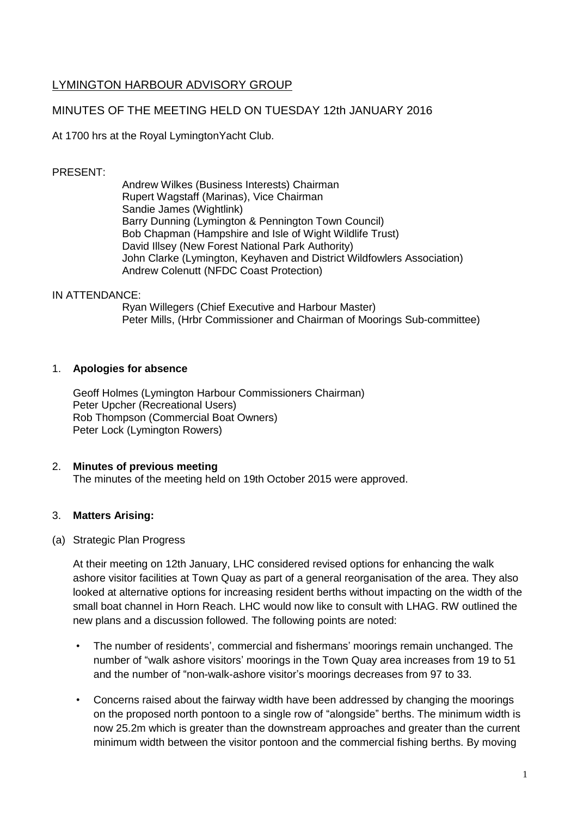# LYMINGTON HARBOUR ADVISORY GROUP

# MINUTES OF THE MEETING HELD ON TUESDAY 12th JANUARY 2016

At 1700 hrs at the Royal LymingtonYacht Club.

## PRESENT:

Andrew Wilkes (Business Interests) Chairman Rupert Wagstaff (Marinas), Vice Chairman Sandie James (Wightlink) Barry Dunning (Lymington & Pennington Town Council) Bob Chapman (Hampshire and Isle of Wight Wildlife Trust) David Illsey (New Forest National Park Authority) John Clarke (Lymington, Keyhaven and District Wildfowlers Association) Andrew Colenutt (NFDC Coast Protection)

#### IN ATTENDANCE:

Ryan Willegers (Chief Executive and Harbour Master) Peter Mills, (Hrbr Commissioner and Chairman of Moorings Sub-committee)

#### 1. **Apologies for absence**

Geoff Holmes (Lymington Harbour Commissioners Chairman) Peter Upcher (Recreational Users) Rob Thompson (Commercial Boat Owners) Peter Lock (Lymington Rowers)

## 2. **Minutes of previous meeting**

The minutes of the meeting held on 19th October 2015 were approved.

#### 3. **Matters Arising:**

#### (a) Strategic Plan Progress

At their meeting on 12th January, LHC considered revised options for enhancing the walk ashore visitor facilities at Town Quay as part of a general reorganisation of the area. They also looked at alternative options for increasing resident berths without impacting on the width of the small boat channel in Horn Reach. LHC would now like to consult with LHAG. RW outlined the new plans and a discussion followed. The following points are noted:

- The number of residents', commercial and fishermans' moorings remain unchanged. The number of "walk ashore visitors' moorings in the Town Quay area increases from 19 to 51 and the number of "non-walk-ashore visitor's moorings decreases from 97 to 33.
- Concerns raised about the fairway width have been addressed by changing the moorings on the proposed north pontoon to a single row of "alongside" berths. The minimum width is now 25.2m which is greater than the downstream approaches and greater than the current minimum width between the visitor pontoon and the commercial fishing berths. By moving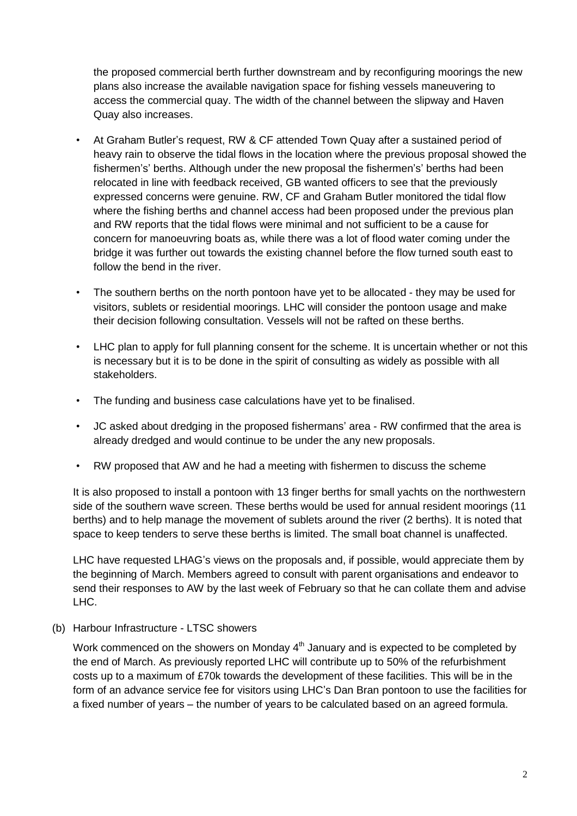the proposed commercial berth further downstream and by reconfiguring moorings the new plans also increase the available navigation space for fishing vessels maneuvering to access the commercial quay. The width of the channel between the slipway and Haven Quay also increases.

- At Graham Butler's request, RW & CF attended Town Quay after a sustained period of heavy rain to observe the tidal flows in the location where the previous proposal showed the fishermen's' berths. Although under the new proposal the fishermen's' berths had been relocated in line with feedback received, GB wanted officers to see that the previously expressed concerns were genuine. RW, CF and Graham Butler monitored the tidal flow where the fishing berths and channel access had been proposed under the previous plan and RW reports that the tidal flows were minimal and not sufficient to be a cause for concern for manoeuvring boats as, while there was a lot of flood water coming under the bridge it was further out towards the existing channel before the flow turned south east to follow the bend in the river.
- The southern berths on the north pontoon have yet to be allocated they may be used for visitors, sublets or residential moorings. LHC will consider the pontoon usage and make their decision following consultation. Vessels will not be rafted on these berths.
- LHC plan to apply for full planning consent for the scheme. It is uncertain whether or not this is necessary but it is to be done in the spirit of consulting as widely as possible with all stakeholders.
- The funding and business case calculations have yet to be finalised.
- JC asked about dredging in the proposed fishermans' area RW confirmed that the area is already dredged and would continue to be under the any new proposals.
- RW proposed that AW and he had a meeting with fishermen to discuss the scheme

It is also proposed to install a pontoon with 13 finger berths for small yachts on the northwestern side of the southern wave screen. These berths would be used for annual resident moorings (11 berths) and to help manage the movement of sublets around the river (2 berths). It is noted that space to keep tenders to serve these berths is limited. The small boat channel is unaffected.

LHC have requested LHAG's views on the proposals and, if possible, would appreciate them by the beginning of March. Members agreed to consult with parent organisations and endeavor to send their responses to AW by the last week of February so that he can collate them and advise LHC.

(b) Harbour Infrastructure - LTSC showers

Work commenced on the showers on Monday  $4<sup>th</sup>$  January and is expected to be completed by the end of March. As previously reported LHC will contribute up to 50% of the refurbishment costs up to a maximum of £70k towards the development of these facilities. This will be in the form of an advance service fee for visitors using LHC's Dan Bran pontoon to use the facilities for a fixed number of years – the number of years to be calculated based on an agreed formula.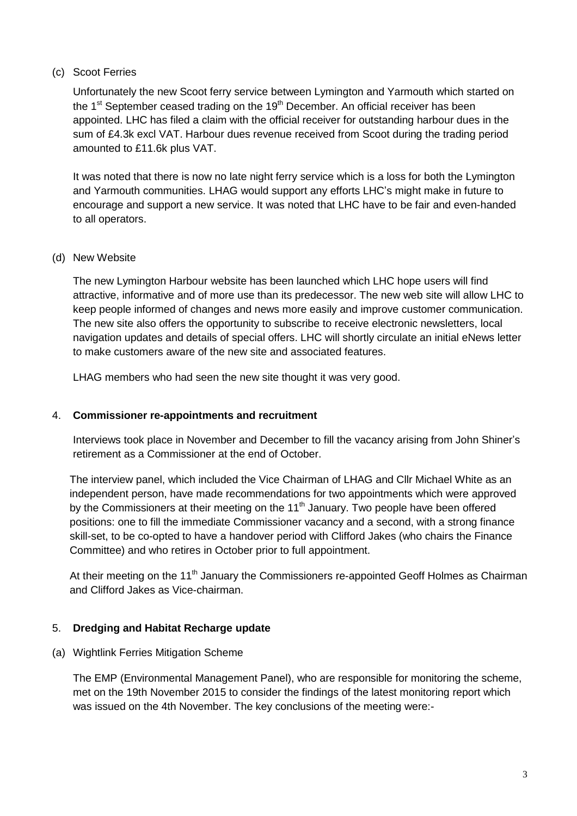# (c) Scoot Ferries

Unfortunately the new Scoot ferry service between Lymington and Yarmouth which started on the 1<sup>st</sup> September ceased trading on the 19<sup>th</sup> December. An official receiver has been appointed. LHC has filed a claim with the official receiver for outstanding harbour dues in the sum of £4.3k excl VAT. Harbour dues revenue received from Scoot during the trading period amounted to £11.6k plus VAT.

It was noted that there is now no late night ferry service which is a loss for both the Lymington and Yarmouth communities. LHAG would support any efforts LHC's might make in future to encourage and support a new service. It was noted that LHC have to be fair and even-handed to all operators.

#### (d) New Website

The new Lymington Harbour website has been launched which LHC hope users will find attractive, informative and of more use than its predecessor. The new web site will allow LHC to keep people informed of changes and news more easily and improve customer communication. The new site also offers the opportunity to subscribe to receive electronic newsletters, local navigation updates and details of special offers. LHC will shortly circulate an initial eNews letter to make customers aware of the new site and associated features.

LHAG members who had seen the new site thought it was very good.

#### 4. **Commissioner re-appointments and recruitment**

Interviews took place in November and December to fill the vacancy arising from John Shiner's retirement as a Commissioner at the end of October.

The interview panel, which included the Vice Chairman of LHAG and Cllr Michael White as an independent person, have made recommendations for two appointments which were approved by the Commissioners at their meeting on the  $11<sup>th</sup>$  January. Two people have been offered positions: one to fill the immediate Commissioner vacancy and a second, with a strong finance skill-set, to be co-opted to have a handover period with Clifford Jakes (who chairs the Finance Committee) and who retires in October prior to full appointment.

At their meeting on the 11<sup>th</sup> January the Commissioners re-appointed Geoff Holmes as Chairman and Clifford Jakes as Vice-chairman.

#### 5. **Dredging and Habitat Recharge update**

(a) Wightlink Ferries Mitigation Scheme

The EMP (Environmental Management Panel), who are responsible for monitoring the scheme, met on the 19th November 2015 to consider the findings of the latest monitoring report which was issued on the 4th November. The key conclusions of the meeting were:-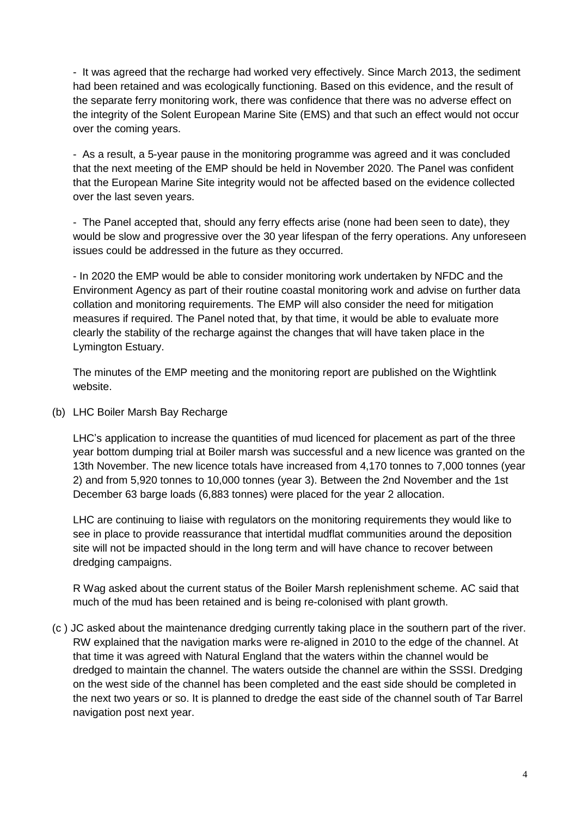- It was agreed that the recharge had worked very effectively. Since March 2013, the sediment had been retained and was ecologically functioning. Based on this evidence, and the result of the separate ferry monitoring work, there was confidence that there was no adverse effect on the integrity of the Solent European Marine Site (EMS) and that such an effect would not occur over the coming years.

- As a result, a 5-year pause in the monitoring programme was agreed and it was concluded that the next meeting of the EMP should be held in November 2020. The Panel was confident that the European Marine Site integrity would not be affected based on the evidence collected over the last seven years.

- The Panel accepted that, should any ferry effects arise (none had been seen to date), they would be slow and progressive over the 30 year lifespan of the ferry operations. Any unforeseen issues could be addressed in the future as they occurred.

- In 2020 the EMP would be able to consider monitoring work undertaken by NFDC and the Environment Agency as part of their routine coastal monitoring work and advise on further data collation and monitoring requirements. The EMP will also consider the need for mitigation measures if required. The Panel noted that, by that time, it would be able to evaluate more clearly the stability of the recharge against the changes that will have taken place in the Lymington Estuary.

The minutes of the EMP meeting and the monitoring report are published on the Wightlink website.

(b) LHC Boiler Marsh Bay Recharge

LHC's application to increase the quantities of mud licenced for placement as part of the three year bottom dumping trial at Boiler marsh was successful and a new licence was granted on the 13th November. The new licence totals have increased from 4,170 tonnes to 7,000 tonnes (year 2) and from 5,920 tonnes to 10,000 tonnes (year 3). Between the 2nd November and the 1st December 63 barge loads (6,883 tonnes) were placed for the year 2 allocation.

LHC are continuing to liaise with regulators on the monitoring requirements they would like to see in place to provide reassurance that intertidal mudflat communities around the deposition site will not be impacted should in the long term and will have chance to recover between dredging campaigns.

R Wag asked about the current status of the Boiler Marsh replenishment scheme. AC said that much of the mud has been retained and is being re-colonised with plant growth.

(c ) JC asked about the maintenance dredging currently taking place in the southern part of the river. RW explained that the navigation marks were re-aligned in 2010 to the edge of the channel. At that time it was agreed with Natural England that the waters within the channel would be dredged to maintain the channel. The waters outside the channel are within the SSSI. Dredging on the west side of the channel has been completed and the east side should be completed in the next two years or so. It is planned to dredge the east side of the channel south of Tar Barrel navigation post next year.